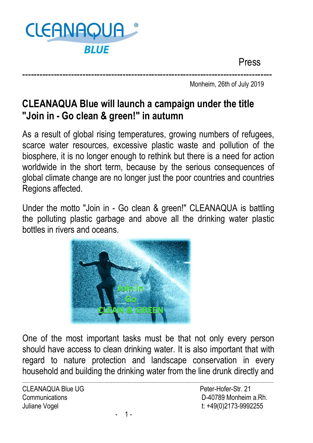

Press

--------------------------------------------------------------------------------------- Monheim, 26th of July 2019

## **CLEANAQUA Blue will launch a campaign under the title "Join in - Go clean & green!" in autumn**

As a result of global rising temperatures, growing numbers of refugees, scarce water resources, excessive plastic waste and pollution of the biosphere, it is no longer enough to rethink but there is a need for action worldwide in the short term, because by the serious consequences of global climate change are no longer just the poor countries and countries Regions affected.

Under the motto "Join in - Go clean & green!" CLEANAQUA is battling the polluting plastic garbage and above all the drinking water plastic bottles in rivers and oceans.



One of the most important tasks must be that not only every person should have access to clean drinking water. It is also important that with regard to nature protection and landscape conservation in every household and building the drinking water from the line drunk directly and

CLEANAQUA Blue UG **Peter-Hofer-Str. 21** 

----------------------------------------------------------------------------------------------------------------------------- --------------------------------------- Communications D-40789 Monheim a.Rh. Juliane Vogel t: +49(0)2173-9992255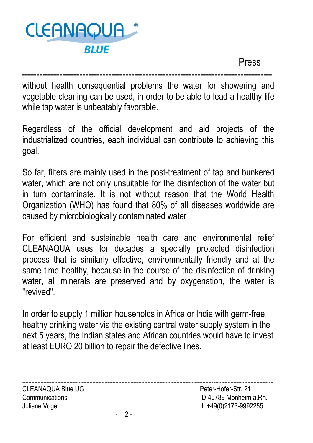

Press

-------------------------------------------------------------------------------------- without health consequential problems the water for showering and vegetable cleaning can be used, in order to be able to lead a healthy life while tap water is unbeatably favorable.

Regardless of the official development and aid projects of the industrialized countries, each individual can contribute to achieving this goal.

So far, filters are mainly used in the post-treatment of tap and bunkered water, which are not only unsuitable for the disinfection of the water but in turn contaminate. It is not without reason that the World Health Organization (WHO) has found that 80% of all diseases worldwide are caused by microbiologically contaminated water

For efficient and sustainable health care and environmental relief CLEANAQUA uses for decades a specially protected disinfection process that is similarly effective, environmentally friendly and at the same time healthy, because in the course of the disinfection of drinking water, all minerals are preserved and by oxygenation, the water is "revived".

In order to supply 1 million households in Africa or India with germ-free, healthy drinking water via the existing central water supply system in the next 5 years, the Indian states and African countries would have to invest at least EURO 20 billion to repair the defective lines.

----------------------------------------------------------------------------------------------------------------------------- ---------------------------------------

CLEANAQUA Blue UG **Peter-Hofer-Str. 21** 

Communications D-40789 Monheim a.Rh. Juliane Vogel t: +49(0)2173-9992255